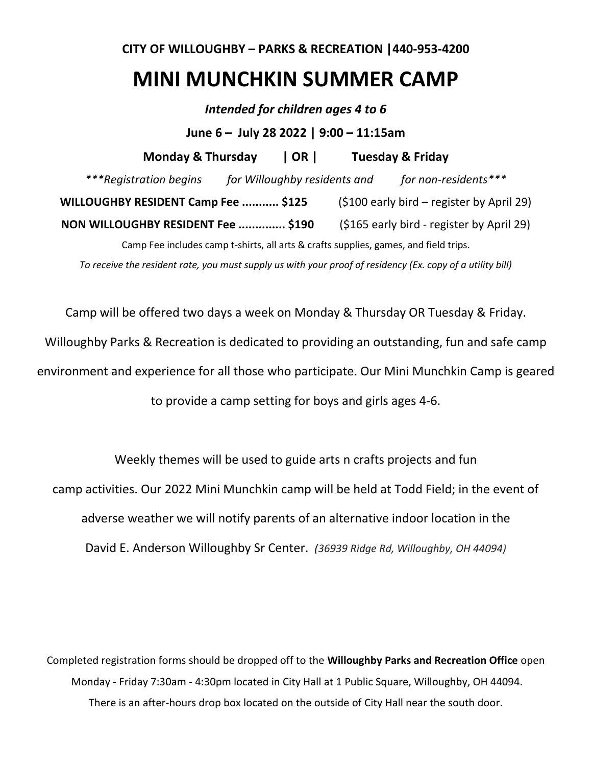## **CITY OF WILLOUGHBY – PARKS & RECREATION |440-953-4200**

## **MINI MUNCHKIN SUMMER CAMP**

*Intended for children ages 4 to 6* **June 6 – July 28 2022 | 9:00 – 11:15am Monday & Thursday | OR | Tuesday & Friday** *\*\*\*Registration begins for Willoughby residents and for non-residents\*\*\** **WILLOUGHBY RESIDENT Camp Fee ........... \$125** (\$100 early bird – register by April 29) **NON WILLOUGHBY RESIDENT Fee .............. \$190** (\$165 early bird - register by April 29) Camp Fee includes camp t-shirts, all arts & crafts supplies, games, and field trips.

*To receive the resident rate, you must supply us with your proof of residency (Ex. copy of a utility bill)*

Camp will be offered two days a week on Monday & Thursday OR Tuesday & Friday.

Willoughby Parks & Recreation is dedicated to providing an outstanding, fun and safe camp

environment and experience for all those who participate. Our Mini Munchkin Camp is geared

to provide a camp setting for boys and girls ages 4-6.

Weekly themes will be used to guide arts n crafts projects and fun camp activities. Our 2022 Mini Munchkin camp will be held at Todd Field; in the event of adverse weather we will notify parents of an alternative indoor location in the David E. Anderson Willoughby Sr Center. *(36939 Ridge Rd, Willoughby, OH 44094)*

Completed registration forms should be dropped off to the **Willoughby Parks and Recreation Office** open Monday - Friday 7:30am - 4:30pm located in City Hall at 1 Public Square, Willoughby, OH 44094. There is an after-hours drop box located on the outside of City Hall near the south door.